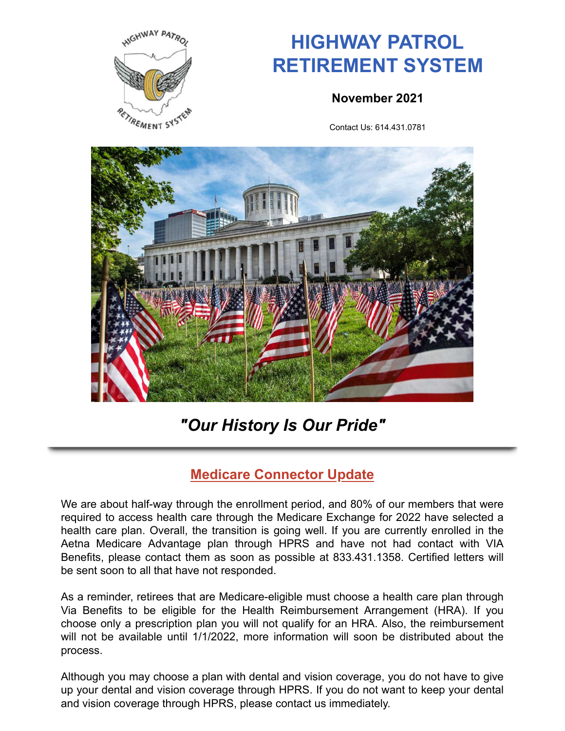

# **HIGHWAY PATROL RETIREMENT SYSTEM**

#### **November 2021**

Contact Us: 614.431.0781



## *"Our History Is Our Pride"*

### **Medicare Connector Update**

We are about half-way through the enrollment period, and 80% of our members that were required to access health care through the Medicare Exchange for 2022 have selected a health care plan. Overall, the transition is going well. If you are currently enrolled in the Aetna Medicare Advantage plan through HPRS and have not had contact with VIA Benefits, please contact them as soon as possible at 833.431.1358. Certified letters will be sent soon to all that have not responded.

As a reminder, retirees that are Medicare-eligible must choose a health care plan through Via Benefits to be eligible for the Health Reimbursement Arrangement (HRA). If you choose only a prescription plan you will not qualify for an HRA. Also, the reimbursement will not be available until 1/1/2022, more information will soon be distributed about the process.

Although you may choose a plan with dental and vision coverage, you do not have to give up your dental and vision coverage through HPRS. If you do not want to keep your dental and vision coverage through HPRS, please contact us immediately.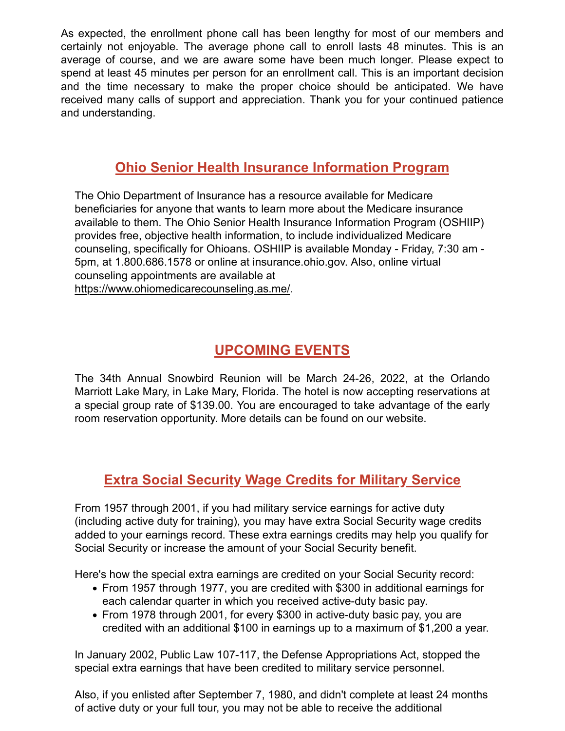As expected, the enrollment phone call has been lengthy for most of our members and certainly not enjoyable. The average phone call to enroll lasts 48 minutes. This is an average of course, and we are aware some have been much longer. Please expect to spend at least 45 minutes per person for an enrollment call. This is an important decision and the time necessary to make the proper choice should be anticipated. We have received many calls of support and appreciation. Thank you for your continued patience and understanding.

#### **Ohio Senior Health Insurance Information Program**

The Ohio Department of Insurance has a resource available for Medicare beneficiaries for anyone that wants to learn more about the Medicare insurance available to them. The Ohio Senior Health Insurance Information Program (OSHIIP) provides free, objective health information, to include individualized Medicare counseling, specifically for Ohioans. OSHIIP is available Monday - Friday, 7:30 am - 5pm, at 1.800.686.1578 or online at insurance.ohio.gov. Also, online virtual counseling appointments are available at https://www.ohiomedicarecounseling.as.me/.

#### **UPCOMING EVENTS**

The 34th Annual Snowbird Reunion will be March 24-26, 2022, at the Orlando Marriott Lake Mary, in Lake Mary, Florida. The hotel is now accepting reservations at a special group rate of \$139.00. You are encouraged to take advantage of the early room reservation opportunity. More details can be found on our website.

#### **Extra Social Security Wage Credits for Military Service**

From 1957 through 2001, if you had military service earnings for active duty (including active duty for training), you may have extra Social Security wage credits added to your earnings record. These extra earnings credits may help you qualify for Social Security or increase the amount of your Social Security benefit.

Here's how the special extra earnings are credited on your Social Security record:

- From 1957 through 1977, you are credited with \$300 in additional earnings for each calendar quarter in which you received active-duty basic pay.
- From 1978 through 2001, for every \$300 in active-duty basic pay, you are credited with an additional \$100 in earnings up to a maximum of \$1,200 a year.

In January 2002, Public Law 107-117, the Defense Appropriations Act, stopped the special extra earnings that have been credited to military service personnel.

Also, if you enlisted after September 7, 1980, and didn't complete at least 24 months of active duty or your full tour, you may not be able to receive the additional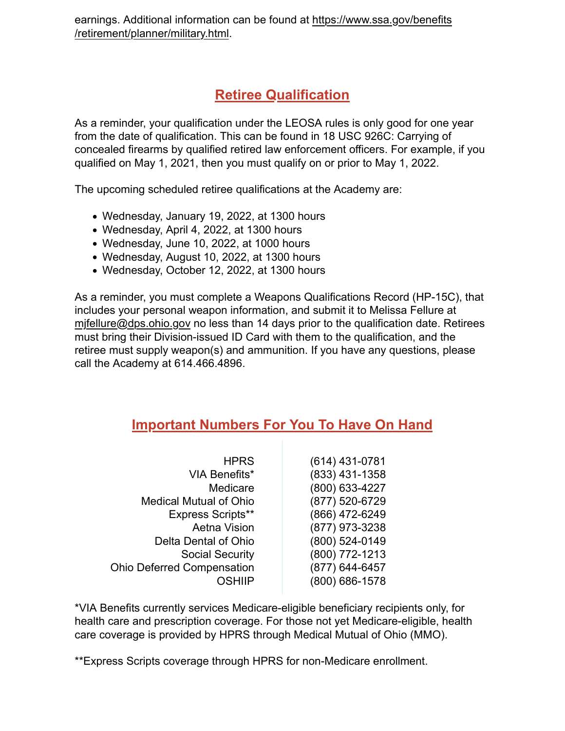#### **Retiree Qualification**

As a reminder, your qualification under the LEOSA rules is only good for one year from the date of qualification. This can be found in 18 USC 926C: Carrying of concealed firearms by qualified retired law enforcement officers. For example, if you qualified on May 1, 2021, then you must qualify on or prior to May 1, 2022.

The upcoming scheduled retiree qualifications at the Academy are:

- Wednesday, January 19, 2022, at 1300 hours
- Wednesday, April 4, 2022, at 1300 hours
- Wednesday, June 10, 2022, at 1000 hours
- Wednesday, August 10, 2022, at 1300 hours
- Wednesday, October 12, 2022, at 1300 hours

As a reminder, you must complete a Weapons Qualifications Record (HP-15C), that includes your personal weapon information, and submit it to Melissa Fellure at mjfellure@dps.ohio.gov no less than 14 days prior to the qualification date. Retirees must bring their Division-issued ID Card with them to the qualification, and the retiree must supply weapon(s) and ammunition. If you have any questions, please call the Academy at 614.466.4896.

#### **Important Numbers For You To Have On Hand**

| <b>HPRS</b>                       | (614) 431-0781 |
|-----------------------------------|----------------|
| <b>VIA Benefits*</b>              | (833) 431-1358 |
| Medicare                          | (800) 633-4227 |
| <b>Medical Mutual of Ohio</b>     | (877) 520-6729 |
| <b>Express Scripts**</b>          | (866) 472-6249 |
| <b>Aetna Vision</b>               | (877) 973-3238 |
| Delta Dental of Ohio              | (800) 524-0149 |
| <b>Social Security</b>            | (800) 772-1213 |
| <b>Ohio Deferred Compensation</b> | (877) 644-6457 |
| OSHIIP                            | (800) 686-1578 |

\*VIA Benefits currently services Medicare-eligible beneficiary recipients only, for health care and prescription coverage. For those not yet Medicare-eligible, health care coverage is provided by HPRS through Medical Mutual of Ohio (MMO).

\*\*Express Scripts coverage through HPRS for non-Medicare enrollment.